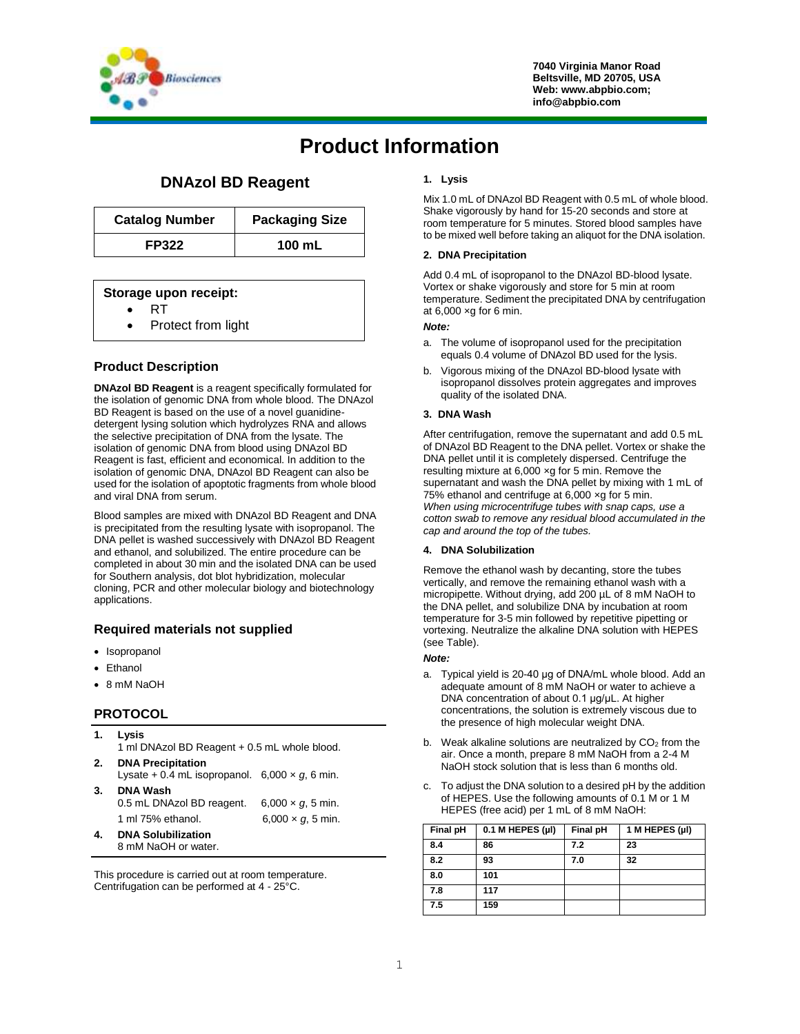

# **Product Information**

## **DNAzol BD Reagent**

| <b>Catalog Number</b> | <b>Packaging Size</b> |
|-----------------------|-----------------------|
| <b>FP322</b>          | 100 mL                |

## **Storage upon receipt:**

- RT
- Protect from light

## **Product Description**

**DNAzol BD Reagent** is a reagent specifically formulated for the isolation of genomic DNA from whole blood. The DNAzol BD Reagent is based on the use of a novel guanidinedetergent lysing solution which hydrolyzes RNA and allows the selective precipitation of DNA from the lysate. The isolation of genomic DNA from blood using DNAzol BD Reagent is fast, efficient and economical. In addition to the isolation of genomic DNA, DNAzol BD Reagent can also be used for the isolation of apoptotic fragments from whole blood and viral DNA from serum.

Blood samples are mixed with DNAzol BD Reagent and DNA is precipitated from the resulting lysate with isopropanol. The DNA pellet is washed successively with DNAzol BD Reagent and ethanol, and solubilized. The entire procedure can be completed in about 30 min and the isolated DNA can be used for Southern analysis, dot blot hybridization, molecular cloning, PCR and other molecular biology and biotechnology applications.

## **Required materials not supplied**

- Isopropanol
- Ethanol
- 8 mM NaOH

## **PROTOCOL**

| 1. | Lysis<br>1 ml DNAzol BD Reagent + 0.5 mL whole blood.                              |                                                        |  |
|----|------------------------------------------------------------------------------------|--------------------------------------------------------|--|
| 2. | <b>DNA Precipitation</b><br>Lysate + 0.4 mL isopropanol. $6,000 \times g$ , 6 min. |                                                        |  |
| 3. | <b>DNA Wash</b><br>0.5 mL DNAzol BD reagent.<br>1 ml 75% ethanol.                  | $6,000 \times g$ , 5 min.<br>$6,000 \times q$ , 5 min. |  |
| 4. | <b>DNA Solubilization</b><br>8 mM NaOH or water.                                   |                                                        |  |

This procedure is carried out at room temperature. Centrifugation can be performed at 4 - 25°C.

### **1. Lysis**

Mix 1.0 mL of DNAzol BD Reagent with 0.5 mL of whole blood. Shake vigorously by hand for 15-20 seconds and store at room temperature for 5 minutes. Stored blood samples have to be mixed well before taking an aliquot for the DNA isolation.

#### **2. DNA Precipitation**

Add 0.4 mL of isopropanol to the DNAzol BD-blood lysate. Vortex or shake vigorously and store for 5 min at room temperature. Sediment the precipitated DNA by centrifugation at  $6,000 \times g$  for 6 min.

#### *Note:*

- a. The volume of isopropanol used for the precipitation equals 0.4 volume of DNAzol BD used for the lysis.
- b. Vigorous mixing of the DNAzol BD-blood lysate with isopropanol dissolves protein aggregates and improves quality of the isolated DNA.

#### **3. DNA Wash**

After centrifugation, remove the supernatant and add 0.5 mL of DNAzol BD Reagent to the DNA pellet. Vortex or shake the DNA pellet until it is completely dispersed. Centrifuge the resulting mixture at 6,000 ×g for 5 min. Remove the supernatant and wash the DNA pellet by mixing with 1 mL of 75% ethanol and centrifuge at 6,000 ×g for 5 min. *When using microcentrifuge tubes with snap caps, use a cotton swab to remove any residual blood accumulated in the cap and around the top of the tubes.*

#### **4. DNA Solubilization**

Remove the ethanol wash by decanting, store the tubes vertically, and remove the remaining ethanol wash with a micropipette. Without drying, add 200 µL of 8 mM NaOH to the DNA pellet, and solubilize DNA by incubation at room temperature for 3-5 min followed by repetitive pipetting or vortexing. Neutralize the alkaline DNA solution with HEPES (see Table).

#### *Note:*

- a. Typical yield is 20-40 μg of DNA/mL whole blood. Add an adequate amount of 8 mM NaOH or water to achieve a DNA concentration of about 0.1 μg/μL. At higher concentrations, the solution is extremely viscous due to the presence of high molecular weight DNA.
- b. Weak alkaline solutions are neutralized by  $CO<sub>2</sub>$  from the air. Once a month, prepare 8 mM NaOH from a 2-4 M NaOH stock solution that is less than 6 months old.
- c. To adjust the DNA solution to a desired pH by the addition of HEPES. Use the following amounts of 0.1 M or 1 M HEPES (free acid) per 1 mL of 8 mM NaOH:

| Final pH | $0.1$ M HEPES (µl) | Final pH | 1 M HEPES (µl) |
|----------|--------------------|----------|----------------|
| 8.4      | 86                 | 7.2      | 23             |
| 8.2      | 93                 | 7.0      | 32             |
| 8.0      | 101                |          |                |
| 7.8      | 117                |          |                |
| 7.5      | 159                |          |                |